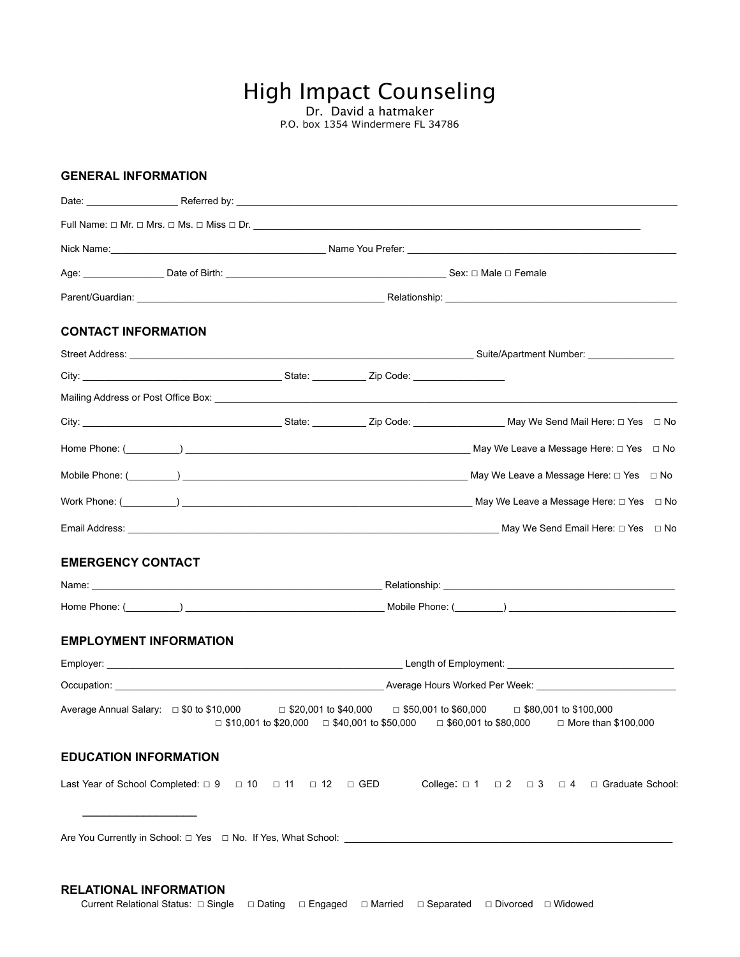# High Impact Counseling

Dr. David a hatmaker P.O. box 1354 Windermere FL 34786

| <b>GENERAL INFORMATION</b>               |                             |                                                                                     |                                                                                                                                                       |
|------------------------------------------|-----------------------------|-------------------------------------------------------------------------------------|-------------------------------------------------------------------------------------------------------------------------------------------------------|
|                                          |                             |                                                                                     |                                                                                                                                                       |
|                                          |                             |                                                                                     | $Full Name: \Box Mr. \Box Mrs. \Box Mrs. \Box Miss. \Box Dr.$                                                                                         |
|                                          |                             |                                                                                     |                                                                                                                                                       |
|                                          |                             |                                                                                     |                                                                                                                                                       |
|                                          |                             |                                                                                     |                                                                                                                                                       |
| <b>CONTACT INFORMATION</b>               |                             |                                                                                     |                                                                                                                                                       |
|                                          |                             |                                                                                     |                                                                                                                                                       |
|                                          |                             |                                                                                     |                                                                                                                                                       |
|                                          |                             |                                                                                     |                                                                                                                                                       |
|                                          |                             |                                                                                     |                                                                                                                                                       |
|                                          |                             |                                                                                     |                                                                                                                                                       |
|                                          |                             |                                                                                     |                                                                                                                                                       |
|                                          |                             |                                                                                     |                                                                                                                                                       |
|                                          |                             |                                                                                     |                                                                                                                                                       |
| <b>EMERGENCY CONTACT</b>                 |                             |                                                                                     |                                                                                                                                                       |
|                                          |                             |                                                                                     |                                                                                                                                                       |
|                                          |                             |                                                                                     |                                                                                                                                                       |
| <b>EMPLOYMENT INFORMATION</b>            |                             |                                                                                     |                                                                                                                                                       |
|                                          |                             |                                                                                     |                                                                                                                                                       |
|                                          |                             |                                                                                     | Occupation: Contract of Contract of Contract of Contract of Contract of Contract of Contract of Contract of Co                                        |
| Average Annual Salary: □ \$0 to \$10,000 | $\Box$ \$20,001 to \$40,000 | $\Box$ \$10,001 to \$20,000 $\Box$ \$40,001 to \$50,000 $\Box$ \$60,001 to \$80,000 | □ \$50,001 to \$60,000<br>$\Box$ \$80,001 to \$100,000<br>□ More than \$100,000                                                                       |
| <b>EDUCATION INFORMATION</b>             |                             |                                                                                     |                                                                                                                                                       |
|                                          |                             |                                                                                     | Last Year of School Completed: $\Box$ 9 $\Box$ 10 $\Box$ 11 $\Box$ 12 $\Box$ GED College: $\Box$ 1 $\Box$ 2 $\Box$ 3 $\Box$ 4 $\Box$ Graduate School: |
|                                          |                             |                                                                                     |                                                                                                                                                       |

## **RELATIONAL INFORMATION**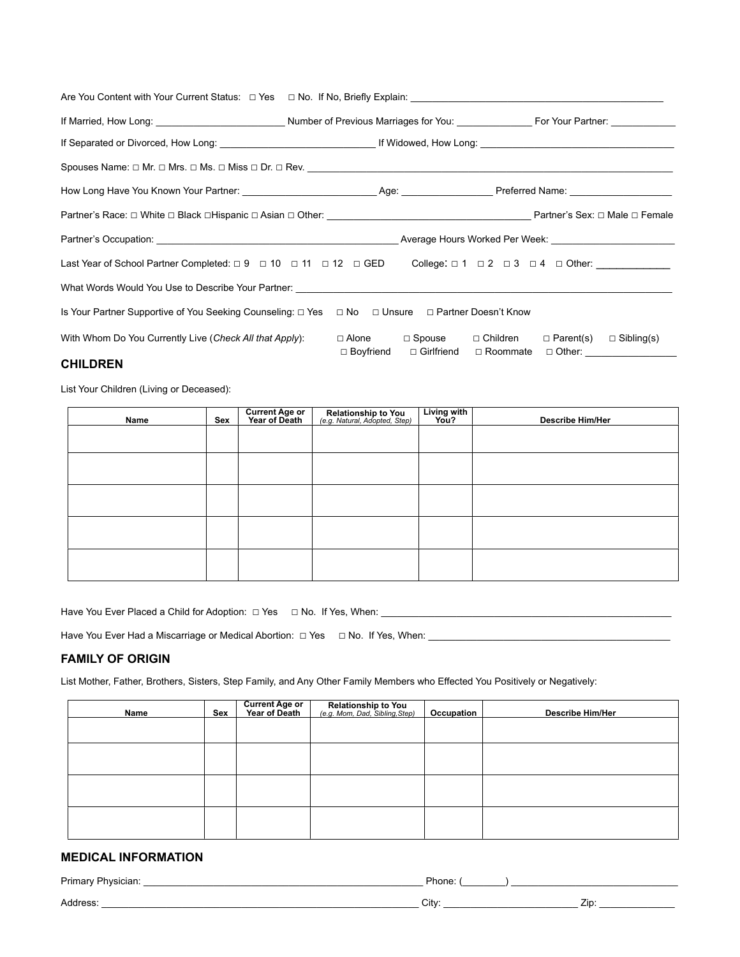| Partner's Occupation: example and the example of the example of the example of Average Hours Worked Per Week:                                       |                                                                                                   |                                 |
|-----------------------------------------------------------------------------------------------------------------------------------------------------|---------------------------------------------------------------------------------------------------|---------------------------------|
| Last Year of School Partner Completed: $\Box 9$ $\Box 10$ $\Box 11$ $\Box 12$ $\Box$ GED College: $\Box 1$ $\Box 2$ $\Box 3$ $\Box 4$ $\Box$ Other: |                                                                                                   |                                 |
|                                                                                                                                                     |                                                                                                   |                                 |
| Is Your Partner Supportive of You Seeking Counseling: □ Yes □ No □ Unsure □ Partner Doesn't Know                                                    |                                                                                                   |                                 |
| With Whom Do You Currently Live (Check All that Apply):                                                                                             | $\Box$ Alone $\Box$ Spouse $\Box$ Children $\Box$ Parent(s)<br>$\Box$ Boyfriend $\Box$ Girlfriend | $\Box$ Sibling(s)<br>□ Roommate |

#### **CHILDREN**

List Your Children (Living or Deceased):

| Name | Sex | Current Age or<br>Year of Death | Relationship to You<br>(e.g. Natural, Adopted, Step) | Living with<br>You? | <b>Describe Him/Her</b> |
|------|-----|---------------------------------|------------------------------------------------------|---------------------|-------------------------|
|      |     |                                 |                                                      |                     |                         |
|      |     |                                 |                                                      |                     |                         |
|      |     |                                 |                                                      |                     |                         |
|      |     |                                 |                                                      |                     |                         |
|      |     |                                 |                                                      |                     |                         |

Have You Ever Placed a Child for Adoption: □ Yes □ No. If Yes, When: \_\_\_\_\_\_\_\_\_\_\_\_\_\_\_\_\_\_\_\_\_\_\_\_\_\_\_\_\_\_\_\_\_\_\_\_\_\_\_\_\_\_\_\_\_\_\_\_\_\_\_\_\_\_

Have You Ever Had a Miscarriage or Medical Abortion: □ Yes □ No. If Yes, When: \_\_\_\_\_\_\_\_\_\_\_\_\_\_\_\_\_\_\_\_\_\_\_\_\_\_\_\_\_\_\_\_\_\_\_\_\_\_\_\_\_\_\_\_\_

### **FAMILY OF ORIGIN**

List Mother, Father, Brothers, Sisters, Step Family, and Any Other Family Members who Effected You Positively or Negatively:

| Name | Sex | Current Age or<br>Year of Death | Relationship to You<br>(e.g. Mom, Dad, Sibling, Step) | Occupation | <b>Describe Him/Her</b> |
|------|-----|---------------------------------|-------------------------------------------------------|------------|-------------------------|
|      |     |                                 |                                                       |            |                         |
|      |     |                                 |                                                       |            |                         |
|      |     |                                 |                                                       |            |                         |
|      |     |                                 |                                                       |            |                         |
|      |     |                                 |                                                       |            |                         |
|      |     |                                 |                                                       |            |                         |
|      |     |                                 |                                                       |            |                         |
|      |     |                                 |                                                       |            |                         |

## **MEDICAL INFORMATION**

| Primary Physician: | Phone: |     |
|--------------------|--------|-----|
| Address.           | City   | Zip |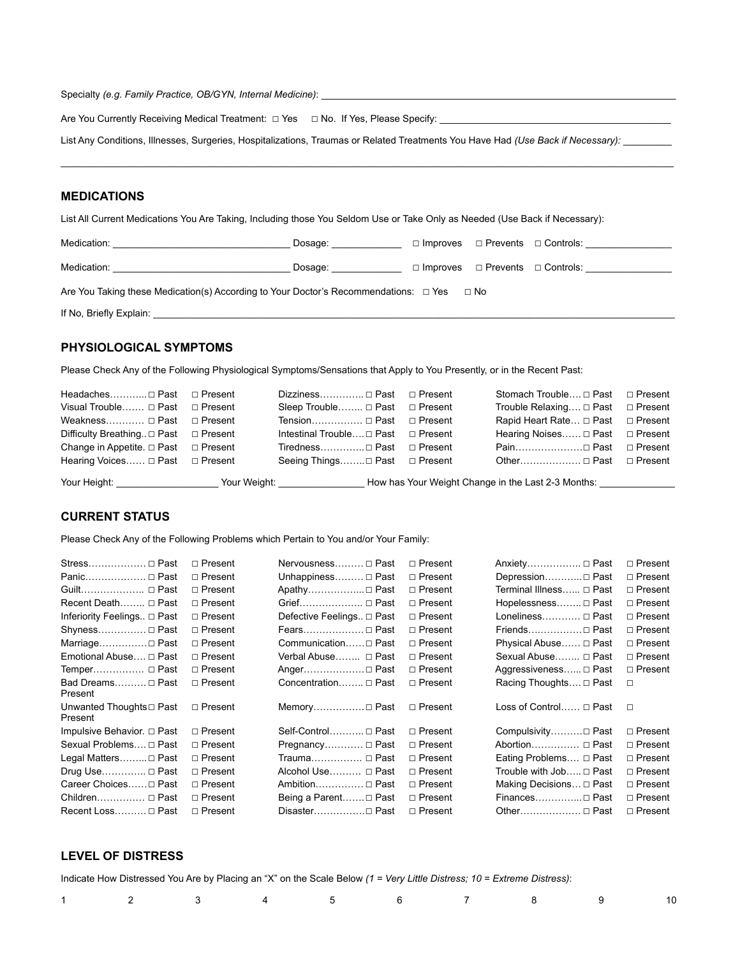Specialty (e.g. Family Practice, OB/GYN, Internal Medicine):

Are You Currently Receiving Medical Treatment: □ Yes □ No. If Yes, Please Specify: \_\_\_\_\_\_\_

List Any Conditions, Illnesses, Surgeries, Hospitalizations, Traumas or Related Treatments You Have Had *(Use Back if Necessary):* \_\_\_\_\_\_\_\_\_

### **MEDICATIONS**

List All Current Medications You Are Taking, Including those You Seldom Use or Take Only as Needed (Use Back if Necessary):

| Medication: <u>___________________</u>                                                              | Dosage: |  | $\Box$ Improves $\Box$ Prevents $\Box$ Controls:  |
|-----------------------------------------------------------------------------------------------------|---------|--|---------------------------------------------------|
|                                                                                                     | Dosage: |  | □ Improves □ Prevents □ Controls: _______________ |
| Are You Taking these Medication(s) According to Your Doctor's Recommendations: $\Box$ Yes $\Box$ No |         |  |                                                   |
|                                                                                                     |         |  |                                                   |

\_\_\_\_\_\_\_\_\_\_\_\_\_\_\_\_\_\_\_\_\_\_\_\_\_\_\_\_\_\_\_\_\_\_\_\_\_\_\_\_\_\_\_\_\_\_\_\_\_\_\_\_\_\_\_\_\_\_\_\_\_\_\_\_\_\_\_\_\_\_\_\_\_\_\_\_\_\_\_\_\_\_\_\_\_\_\_\_\_\_\_\_\_\_\_\_\_\_\_\_\_\_\_\_\_\_\_\_\_\_\_\_\_\_

# **PHYSIOLOGICAL SYMPTOMS**

Please Check Any of the Following Physiological Symptoms/Sensations that Apply to You Presently, or in the Recent Past:

| Headaches□ Past □ Present                                                        |                                          | Stomach Trouble □ Past □ Present                   |  |
|----------------------------------------------------------------------------------|------------------------------------------|----------------------------------------------------|--|
| Visual Trouble □ Past □ Present                                                  | Sleep Trouble $\Box$ Past $\Box$ Present | Trouble Relaxing $\Box$ Past $\Box$ Present        |  |
| Weakness □ Past □ Present                                                        | Tension $\Box$ Past $\Box$ Present       | Rapid Heart Rate $\Box$ Past $\Box$ Present        |  |
| Difficulty Breathing. $\Box$ Past $\Box$ Present                                 | Intestinal Trouble□ Past □ Present       | Hearing Noises □ Past □ Present                    |  |
| Change in Appetite. $\Box$ Past $\Box$ Present                                   | Tiredness Past □ Present                 |                                                    |  |
| Hearing Voices □ Past □ Present                                                  | Seeing Things□ Past □ Present            |                                                    |  |
| Your Height: __________________________ Your Weight: ___________________________ |                                          | How has Your Weight Change in the Last 2-3 Months: |  |

#### **CURRENT STATUS**

Please Check Any of the Following Problems which Pertain to You and/or Your Family:

| Stress □ Past                      | $\sqcap$ Present | Nervousness □ Past              | □ Present        | Anxiety □ Past              | $\Box$ Present |
|------------------------------------|------------------|---------------------------------|------------------|-----------------------------|----------------|
| Panic □ Past                       | □ Present        | Unhappiness □ Past              | □ Present        | Depression□ Past            | $\Box$ Present |
| Guilt □ Past                       | $\sqcap$ Present |                                 | $\Box$ Present   | Terminal Illness □ Past     | $\Box$ Present |
| Recent Death □ Past                | $\sqcap$ Present | Grief □ Past                    | $\sqcap$ Present | Hopelessness □ Past         | $\Box$ Present |
| Inferiority Feelings □ Past        | □ Present        | Defective Feelings □ Past       | $\Box$ Present   | Loneliness □ Past           | $\Box$ Present |
| Shyness □ Past                     | $\Box$ Present   | Fears □ Past                    | $\Box$ Present   | $F$ riends Past             | $\Box$ Present |
| Marriage□ Past                     | $\Box$ Present   | Communication□ Past             | $\Box$ Present   | Physical Abuse □ Past       | $\Box$ Present |
| Emotional Abuse □ Past             | $\Box$ Present   | Verbal Abuse □ Past             | $\Box$ Present   | Sexual Abuse □ Past         | $\Box$ Present |
| Temper □ Past                      | $\Box$ Present   | Anger□ Past                     | $\Box$ Present   | Aggressiveness □ Past       | $\Box$ Present |
| Bad Dreams □ Past<br>Present       | $\sqcap$ Present | Concentration <sub>□</sub> Past | $\Box$ Present   | Racing Thoughts □ Past      | $\Box$         |
| Unwanted Thoughts□ Past<br>Present | □ Present        | Memory Past                     | $\Box$ Present   | Loss of Control $\Box$ Past | $\Box$         |
| Impulsive Behavior. $\Box$ Past    | □ Present        | Self-Control □ Past             | □ Present        | Compulsivity□ Past          | $\Box$ Present |
| Sexual Problems □ Past             | $\Box$ Present   | Pregnancy □ Past                | $\Box$ Present   | Abortion □ Past             | $\Box$ Present |
| Legal Matters□ Past                | $\Box$ Present   |                                 | $\Box$ Present   | Eating Problems □ Past      | $\Box$ Present |
| Drug Use $\Box$ Past               | □ Present        | Alcohol Use □ Past              | $\Box$ Present   | Trouble with Job □ Past     | $\Box$ Present |
| Career Choices□ Past               | $\Box$ Present   | Ambition □ Past                 | □ Present        | Making Decisions □ Past     | □ Present      |
| Children $\Box$ Past               | $\Box$ Present   | Being a Parent□ Past            | □ Present        |                             | $\Box$ Present |
| Recent Loss □ Past                 | $\Box$ Present   | Disaster□ Past                  | $\Box$ Present   | Other □ Past                | $\Box$ Present |
|                                    |                  |                                 |                  |                             |                |

#### **LEVEL OF DISTRESS**

| Indicate How Distressed You Are by Placing an "X" on the Scale Below $(1 = \text{Very Little Distress}; 10 = \text{Extreme Distress})$ : |  |
|------------------------------------------------------------------------------------------------------------------------------------------|--|
|------------------------------------------------------------------------------------------------------------------------------------------|--|

|  |  |  |  | 1 2 3 4 5 6 7 8 9 10 |  |
|--|--|--|--|----------------------|--|
|  |  |  |  |                      |  |